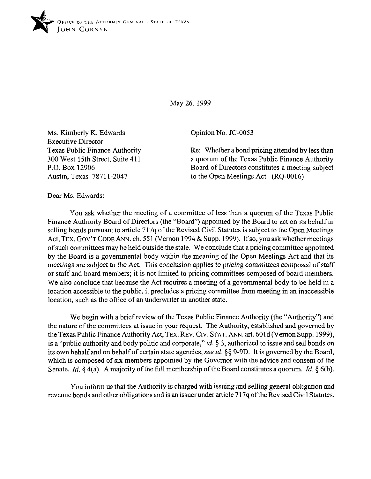

*May 26,1999* 

Ms. Kimberly K. Edwards Executive Director Texas Public Finance Authority 300 West 15th Street, Suite 411 P.O. Box 12906 Austin, Texas 7871 l-2047

Opinion No. JC-0053

Re: Whether a bond pricing attended by less than a quorum of the Texas Public Finance Authority Board of Directors constitutes a meeting subject to the Open Meetings Act (RQ-0016)

Dear Ms. Edwards:

You ask whether the meeting of a committee of less than a quorum of the Texas Public Finance Authority Board of Directors (the "Board") appointed by the Board to act on its behalf in selling bonds pursuant to article 717q of the Revised Civil Statutes is subject to the Open Meetings Act, **TEX. GOV'T CODE** ANN. ch. 55 1 (Vernon 1994 & Supp. 1999). If so, you ask whether meetings of such committees may be held outside the state. We conclude that a pricing committee appointed by the Board is a governmental body within the meaning of the Open Meetings Act and that its meetings are subject to the Act. This conclusion applies to pricing committees composed of staff or staff and board members; it is not limited to pricing committees composed of board members. We also conclude that because the Act requires a meeting of a governmental body to be held in a location accessible to the public, it precludes a pricing committee from meeting in an inaccessible location, such as the office of an underwriter in another state.

We begin with a brief review of the Texas Public Finance Authority (the "Authority") and the nature of the committees at issue in your request. The Authority, established and governed by the Texas Public Finance Authority Act, **TEX. REV. Crv. STAT.** ANN. art. 601d (Vernon Supp. 1999), is a "public authority and body politic and corporate," *id.* 5 3, authorized to issue and sell bonds on its own behalf and on behalf of certain state agencies, see *id.* \$5 9-9D. It is governed by the Board, which is composed of six members appointed by the Governor with the advice and consent of the Senate. *Id.*  $\zeta$  4(a). A majority of the full membership of the Board constitutes a quorum. *Id.*  $\zeta$  6(b).

You inform us that the Authority is charged with issuing and selling general obligation and revenue bonds and other obligations and is an issuer under article 717q of the Revised Civil Statutes,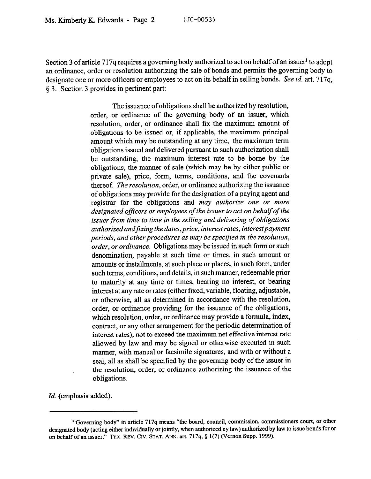Section 3 of article 717q requires a goveming body authorized to act on behalf of an issuer' to adopt an ordinance, order or resolution authorizing the sale of bonds and permits the governing body to designate one or more officers or employees to act on its behalf in selling bonds. See *id. art.* 717q, 5 3. Section 3 provides in pertinent part:

> The issuance of obligations shall be authorized by resolution, order, or ordinance of the governing body of an issuer, which resolution, order, or ordinance shall fix the maximum amount of obligations to be issued or, if applicable, the maximum principal amount which may be outstanding at any time, the maximum term obligations issued and delivered pursuant to such authorization shall be outstanding, the maximum interest rate to be borne by the obligations, the manner of sale (which may be by either public or private sale), price, form, terms, conditions, and the covenants thereof. The *resolution,* order, or ordinance authorizing the issuance of obligations may provide for the designation of a paying agent and registrar for the obligations and *may authorize one or more*  designated officers or employees of the *issuer* to act on behalf of the *issuer from time to time in the selling and delivering of obligations authorized andfrxing the dates,price, interest rates, interestpayment periods, and other procedures as may be specified in the resolution, order, or ordinance.* Obligations may be issued in such form or such denomination, payable at such time or times, in such amount or amounts or installments, at such place or places, in such form, under such terms, conditions, and details, in such manner, redeemable prior to maturity at any time or times, bearing no interest, or bearing interest at any rate or rates (either fixed, variable, floating, adjustable, or otherwise, all as determined in accordance with the resolution, order, or ordinance providing for the issuance of the obligations, which resolution, order, or ordinance may provide a formula, index, contract, or any other arrangement for the periodic determination of interest rates), not to exceed the maximum net effective interest rate allowed by law and may be signed or otherwise executed in such manner, with manual or facsimile signatures, and with or without a seal, all as shall be specified by the governing body of the issuer in the resolution, order, or ordinance authorizing the issuance of the obligations.

*Id.* (emphasis added).

<sup>&</sup>lt;sup>14</sup>Governing body" in article 717q means "the board, council, commission, commissioners court, or other **designated body (acting either individually or jointly, when authorized by law) authorized by law to issue bonds for or**  on behalf of an issuer." TEX. REV. CIV. STAT. ANN. art. 717q, § 1(7) (Vernon Supp. 1999).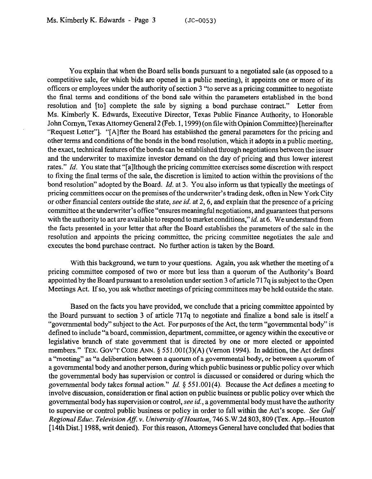You explain that when the Board sells bonds pursuant to a negotiated sale (as opposed to a competitive sale, for which bids are opened in a public meeting), it appoints one or more of its offtcers or employees under the authority of section 3 "to serve as a pricing committee to negotiate the final terms and conditions of the bond sale within the parameters established in the bond resolution and [to] complete the sale by signing a bond purchase contract." Letter from Ms. Kimberly K. Edwards, Executive Director, Texas Public Finance Authority, to Honorable John Comyn, Texas Attorney General 2 (Feb. 1,1999) (on file with Opinion Committee) [hereinafter "Request Letter"]. "[Alfter the Board has established the general parameters for the pricing and other terms and conditions of the bonds in the bond resolution, which it adopts in a public meeting, the exact, technical features of the bonds can be established through negotiations between the issuer and the underwriter to maximize investor demand on the day of pricing and thus lower interest rates." *Id.* You state that "[a]lthough the pricing committee exercises some discretion with respect to fixing the final terms of the sale, the discretion is limited to action within the provisions of the bond resolution" adopted by the Board. *Id.* at 3. You also inform us that typically the meetings of pricing committees occur on the premises of the underwriter's trading desk, often in New York City or other financial centers outside the state, see *id.* at 2,6, and explain that the presence of a pricing committee at the underwriter's office "ensures meaningful negotiations, and guarantees that persons with the authority to act are available to respond to market conditions," *id.* at 6. We understand from the facts presented in your letter that after the Board establishes the parameters of the sale in the resolution and appoints the pricing committee, the pricing committee negotiates the sale and executes the bond purchase contract. No further action is taken by the Board.

With this background, we turn to your questions. Again, you ask whether the meeting of a pricing committee composed of two or more but less than a quorum of the Authority's Board appointed by the Board pursuant to a resolution under section 3 of article 717q is subject to the Open Meetings Act. If so, you ask whether meetings of pricing committees may be held outside the state.

Based on the facts you have provided, we conclude that a pricing committee appointed by the Board pursuant to section 3 of article 717q to negotiate and finalize a bond sale is itself a "governmental body" subject to the Act. For purposes of the Act, the term "governmental body" is defined to include "a board, commission, department, committee, or agency within the executive or legislative branch of state government that is directed by one or more elected or appointed members." TEX. GOV'T CODE ANN. § 551.001(3)(A) (Vernon 1994). In addition, the Act defines a "meeting" as "a deliberation between a quorum of a governmental body, or between a quorum of a governmental body and another person, during which public business or public policy over which the governmental body has supervision or control is discussed or considered or during which the governmental body takes formal action." *Id.* 6 551.001(4). Because the Act defines a meeting to involve discussion, consideration or final action on public business or public policy over which the governmental body has supervision or control, see *id.,* a governmental body must have the authority to supervise or control public business or policy in order to fall within the Act's scope. See Gulf *Regional Educ. Television Aff. v. University of Houston, 746 S.W.2d 803, 809 (Tex. App.–Houston* [14th Dist.] 1988, writ denied). For this reason, Attorneys General have concluded that bodies that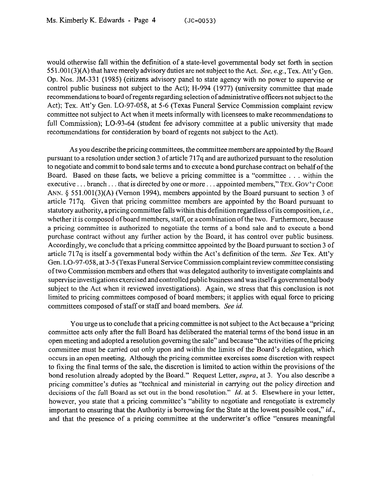would otherwise fall within the definition of a state-level governmental body set forth in section  $551.001(3)$ (A) that have merely advisory duties are not subject to the Act. See, e.g., Tex. Att'y Gen. Op. Nos. JM-331 (1985) (citizens advisory panel to state agency with no power to supervise or control public business not subject to the Act); H-994 (1977) (university committee that made recommendations to board of regents regarding selection of administrative officers not subject to the Act); Tex. Att'y Gen. LO-97-058, at 5-6 (Texas Funeral Service Commission complaint review committee not subject to Act when it meets informally with licensees to make recommendations to full Commission); LO-93-64 (student fee advisory committee at a public university that made recommendations for consideration by board of regents not subject to the Act).

As you describe the pricing committees, the committee members are appointed by the Board pursuant to a resolution under section 3 of article 7 17q and are authorized pursuant to the resolution to negotiate and commit to bond sale terms and to execute a bond purchase contract on behalf of the Board. Based on these facts, we believe a pricing committee is a "committee  $\dots$  within the executive ... branch ... that is directed by one or more ... appointed members," TEX. GOV'T CODE ANN. § 551.001(3)(A) (Vernon 1994), members appointed by the Board pursuant to section 3 of article 717q. Given that pricing committee members are appointed by the Board pursuant to **statutory** authority, a pricing committee falls within this definition regardless ofits composition, *i.e.,*  whether it is composed of board members, staff, or a combination of the two. Furthermore, because a pricing committee is authorized to negotiate the terms of a bond sale and to execute a bond purchase contract without any further action by the Board, it has control over public business. Accordingly, we conclude that a pricing committee appointed by the Board pursuant to section 3 of article 717q is itself a governmental body within the Act's definition of the term. See Tex. Att'y Gen. LO-97-058, at 3-5 (Texas Funeral Service Commission complaint review committee consisting of two Commission members and others that was delegated authority to investigate complaints and supervise investigations exercised and controlled public business and was itself a governmental body subject to the Act when it reviewed investigations). Again, we stress that this conclusion is not limited to pricing committees composed of board members; it applies with equal force to pricing committees composed of staff or staff and board members. See *id.* 

You urge us to conclude that a pricing committee is not subject to the Act because a "pricing committee acts only after the full Board has deliberated the material terms of the bond issue in an open meeting and adopted a resolution governing the sale" and because "the activities of the pricing committee must be carried out only upon and within the limits of the Board's delegation, which occurs in an open meeting. Although the pricing committee exercises some discretion with respect to fixing the final terms of the sale, the discretion is limited to action within the provisions of the bond resolution already adopted by the Board." Request Letter, *supra*, at 3. You also describe a pricing committee's duties as "technical and ministerial in carrying out the policy direction and decisions of the full Board as set out in the bond resolution." *Id.* at 5. Elsewhere in your letter, however, you state that a pricing committee's "ability to negotiate and renegotiate is extremely important to ensuring that the Authority is borrowing for the State at the lowest possible cost," *id.,*  and that the presence of a pricing committee at the underwriter's office "ensures meaningful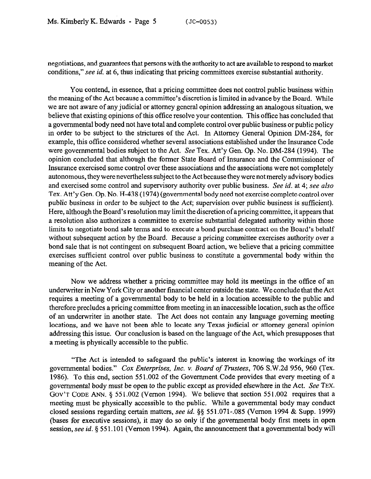negotiations, and guarantees that persons with the authority to act are available to respond to market conditions," see *id.* at 6, thus indicating that pricing committees exercise substantial authority.

You contend, in essence, that a pricing committee does not control public business within the meaning of the Act because a committee's discretion is limited in advance by the Board. While we are not aware of any judicial or attorney general opinion addressing an analogous situation, we believe that existing opinions of this office resolve your contention. This office has concluded that a governmental body need not have total and complete control over public business or public policy in order to be subject to the strictures of the Act. In Attorney General Opinion DM-284, for example, this office considered whether several associations established under the Insurance Code were governmental bodies subject to the Act. See Tex. Att'y Gen. Op. No. DM-284 (1994). The opinion concluded that although the former State Board of Insurance and the Commissioner of Insurance exercised some control over these associations and the associations were not completely autonomous, they were nevertheless subject to the Act because they were not merely advisory bodies and exercised some control and supervisory authority over public business. See *id.* at 4; see also Tex. Att'y Gen. Op. No. H-438 (1974) (governmental body need not exercise complete control over public business in order to be subject to the Act; supervision over public business is sufficient). Here, although the Board's resolution may limit the discretion of a pricing committee, it appears that a resolution also authorizes a committee to exercise substantial delegated authority within those limits to negotiate bond sale terms and to execute a bond purchase contract on the Board's behalf without subsequent action by the Board. Because a pricing committee exercises authority *over a*  bond sale that is not contingent on subsequent Board action, we believe that a pricing committee exercises sufficient control over public business to constitute a governmental body within the meaning of the Act.

Now we address whether a pricing committee may hold its meetings in the office of an underwriter in New York City or another financial center outside the state. We conclude that the Act requires a meeting of a governmental body to be held in a location accessible to the public and therefore precludes a pricing committee from meeting in an inaccessible location, such as the office of an underwriter in another state. The Act does not contain any language governing meeting locations, and we have not been able to locate any Texas judicial or attorney general opinion addressing this issue. Our conclusion is based on the language of the Act, which presupposes that a meeting is physically accessible to the public.

"The Act is intended to safeguard the public's interest in knowing the workings of its governmental bodies." *Cox Enterprises, Inc. Y. Board of Trustees, 706* S.W.2d 956, 960 (Tex. 1986). To this end, section 551.002 of the Government. Code provides that every meeting of a governmental body must be open to the public except as provided elsewhere in the Act. See **TEX.**  GOV'T CODE ANN. § 551.002 (Vernon 1994). We believe that section 551.002 requires that a meeting must be physically accessible to the public. While a governmental body may conduct closed sessions regarding certain matters, see *id.* \$5 551.071-.085 (Vernon 1994 & Supp. 1999) (bases for executive sessions), it may do so only if the governmental body first meets in open session, see *id.* 5 551.101 (Vernon 1994). Again, the announcement that a governmental body will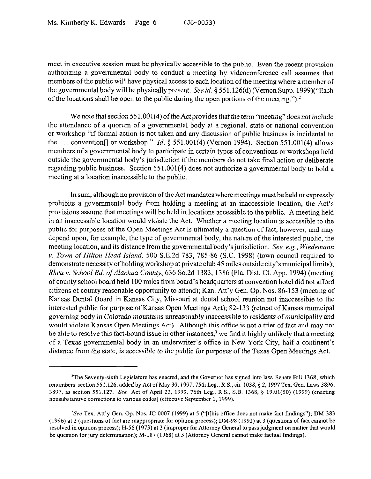meet in executive session must be physically accessible to the public. Even the recent provision authorizing a governmental body to conduct a meeting by videoconference call assumes that members of the public will have physical access to each location of the meeting where a member of the governmental body will be physically present. See *id.* 5 55 1.126(d) (Vernon Supp. 1999)("Each of the locations shall be open to the public during the open portions of the meeting.").<sup>2</sup>

We note that section 551.001(4) of the Act provides that the term "meeting" does not include the attendance of a quorum of a governmental body at a regional, state or national convention or workshop "if formal action is not taken and any discussion of public business is incidental to the ... convention<sup>[]</sup> or workshop." *Id.* § 551.001(4) (Vernon 1994). Section 551.001(4) allows members of a governmental body to participate in certain types of conventions or workshops held outside the governmental body's jurisdiction if the members do not take final action or deliberate regarding public business. Section 551.001(4) does not authorize a governmental body to hold a meeting at a location inaccessible to the public,

In sum, although no provision of the Act mandates where meetings must be held or expressly prohibits a governmental body from holding a meeting at an inaccessible location, the Act's provisions assume that meetings will be held in locations accessible to the public. A meeting held in an inaccessible location would violate the Act. Whether a meeting location is accessible to the public for purposes of the Open Meetings Act is ultimately a question of fact, however, and may depend upon, for example, the type of governmental body, the nature of the interested public, the meeting location, and its distance from the governmental body's jurisdiction. *See, e.g., Wiedemann v. Town of Hilton Head Island,* 500 S.E.2d 783, 785-86 (S.C. 1998) (town council required to demonstrate necessity of holding workshop at private club 45 miles outside city's municipal limits); *Rhea Y. School Bd. ofAlachua County,* 636 So.2d 1383, 1386 (Fla. Dist. Ct. App. 1994) (meeting of county school board held 100 miles from board's headquarters at convention hotel did not afford citizens of county reasonable opportunity to attend); Kan. Att'y Gen. Op. Nos. 86-153 (meeting of Kansas Dental Board in Kansas City, Missouri at dental school reunion not inaccessible to the interested public for purpose of Kansas Open Meetings Act); 82-133 (retreat of Kansas municipal governing body in Colorado mountains unreasonably inaccessible to residents of municipality and would violate Kansas Open Meetings Act). Although this office is not a trier of fact and may not be able to resolve this fact-bound issue in other instances,<sup>3</sup> we find it highly unlikely that a meeting of a Texas governmental body in an underwriter's oftice in New York City, half a continent's distance from the state, is accessible to the public for purposes of the Texas Open Meetings Act.

<sup>&</sup>lt;sup>2</sup>The Seventy-sixth Legislature has enacted, and the Governor has signed into law, Senate Bill 1368, which renumbers section 551.126, added by Act of May 30, 1997, 75th Leg., R.S., ch. 1038, § 2, 1997 Tex. Gen. Laws 3896, 3897, as section 551.127. See Act of April 23, 1999, 76th Leg., R.S., S.B. 1368, 5 19.01(50) (1999) (enacting nonsubstantive corrections to various codes) (effective September 1, 1999).

<sup>&</sup>lt;sup>3</sup>See Tex. Att'y Gen. Op. Nos. JC-0007 (1999) at 5 ("[t]his office does not make fact findings"); DM-383 (1996) at 2 (questions of fact are inappropriate for opinion process); DM-98 (1992) at 3 (questions of fact cannot be resolved in opinion process); H-56 (1973) at 3 (improper for Attorney General to pass judgment on matter that would be question for jury determination); M-187 (1968) at 3 (Attorney General cannot make factual findings).